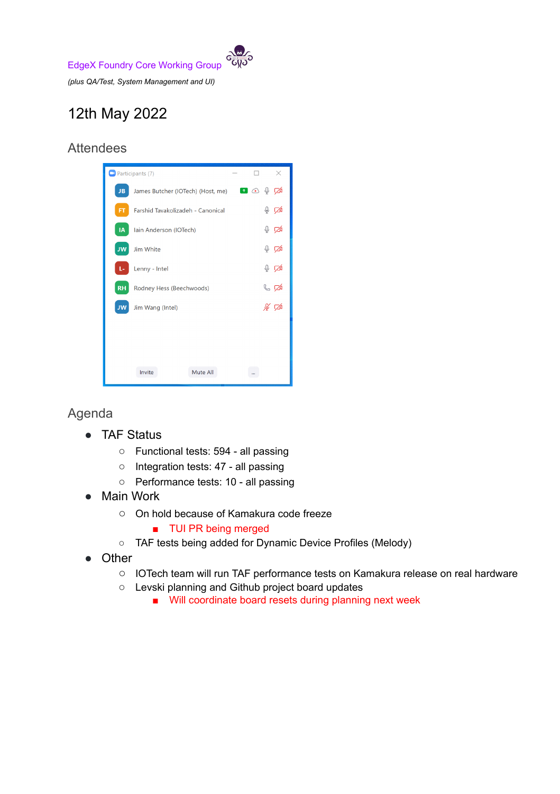EdgeX Foundry Core Working Group

*(plus QA/Test, System Management and UI)*

## 12th May 2022

## **Attendees**



## Agenda

- TAF Status
	- Functional tests: 594 all passing
	- Integration tests: 47 all passing
	- Performance tests: 10 all passing
- **Main Work** 
	- On hold because of Kamakura code freeze
		- TUI PR being merged
	- TAF tests being added for Dynamic Device Profiles (Melody)
- **Other** 
	- IOTech team will run TAF performance tests on Kamakura release on real hardware
	- Levski planning and Github project board updates
		- Will coordinate board resets during planning next week